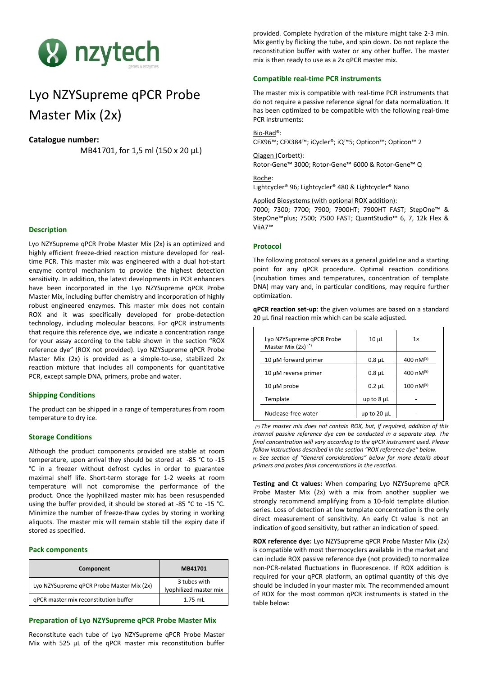

# Lyo NZYSupreme qPCR Probe Master Mix (2x)

# **Catalogue number:**

MB41701, for 1,5 ml (150 x 20 µL)

# **Description**

Lyo NZYSupreme qPCR Probe Master Mix (2x) is an optimized and highly efficient freeze-dried reaction mixture developed for realtime PCR. This master mix was engineered with a dual hot-start enzyme control mechanism to provide the highest detection sensitivity. In addition, the latest developments in PCR enhancers have been incorporated in the Lyo NZYSupreme qPCR Probe Master Mix, including buffer chemistry and incorporation of highly robust engineered enzymes. This master mix does not contain ROX and it was specifically developed for probe-detection technology, including molecular beacons. For qPCR instruments that require this reference dye, we indicate a concentration range for your assay according to the table shown in the section "ROX reference dye" (ROX not provided). Lyo NZYSupreme qPCR Probe Master Mix (2x) is provided as a simple-to-use, stabilized 2x reaction mixture that includes all components for quantitative PCR, except sample DNA, primers, probe and water.

#### **Shipping Conditions**

The product can be shipped in a range of temperatures from room temperature to dry ice.

## **Storage Conditions**

Although the product components provided are stable at room temperature, upon arrival they should be stored at -85 °C to -15 °C in a freezer without defrost cycles in order to guarantee maximal shelf life. Short-term storage for 1-2 weeks at room temperature will not compromise the performance of the product. Once the lyophilized master mix has been resuspended using the buffer provided, it should be stored at -85 °C to -15 °C. Minimize the number of freeze-thaw cycles by storing in working aliquots. The master mix will remain stable till the expiry date if stored as specified.

# **Pack components**

| Component                                 | MB41701                                |
|-------------------------------------------|----------------------------------------|
| Lyo NZYSupreme qPCR Probe Master Mix (2x) | 3 tubes with<br>lyophilized master mix |
| qPCR master mix reconstitution buffer     | $1.75$ mL                              |

# **Preparation of Lyo NZYSupreme qPCR Probe Master Mix**

Reconstitute each tube of Lyo NZYSupreme qPCR Probe Master Mix with 525 μL of the qPCR master mix reconstitution buffer provided. Complete hydration of the mixture might take 2-3 min. Mix gently by flicking the tube, and spin down. Do not replace the reconstitution buffer with water or any other buffer. The master mix is then ready to use as a 2x qPCR master mix.

### **Compatible real-time PCR instruments**

The master mix is compatible with real-time PCR instruments that do not require a passive reference signal for data normalization. It has been optimized to be compatible with the following real-time PCR instruments:

Bio-Rad®: CFX96™; CFX384™; iCycler®; iQ™5; Opticon™; Opticon™ 2

Qiagen (Corbett): Rotor-Gene™ 3000; Rotor-Gene™ 6000 & Rotor-Gene™ Q

Roche: Lightcycler® 96; Lightcycler® 480 & Lightcycler® Nano

Applied Biosystems (with optional ROX addition):

7000; 7300; 7700; 7900; 7900HT; 7900HT FAST; StepOne™ & StepOne™plus; 7500; 7500 FAST; QuantStudio™ 6, 7, 12k Flex & ViiA7™

## **Protocol**

The following protocol serves as a general guideline and a starting point for any qPCR procedure. Optimal reaction conditions (incubation times and temperatures, concentration of template DNA) may vary and, in particular conditions, may require further optimization.

| Lyo NZYSupreme gPCR Probe<br>Master Mix $(2x)$ <sup>(*)</sup> | $10 \mu L$      | $1\times$              |
|---------------------------------------------------------------|-----------------|------------------------|
| 10 µM forward primer                                          | $0.8 \mu L$     | 400 nM $(4)$           |
| 10 µM reverse primer                                          | $0.8 \mu L$     | 400 nM $(4)$           |
| $10 \mu M$ probe                                              | $0.2 \mu L$     | $100 \text{ nM}^{(4)}$ |
| Template                                                      | up to $8 \mu L$ |                        |
| Nuclease-free water                                           | up to 20 µL     |                        |

**qPCR reaction set-up**: the given volumes are based on a standard 20 µL final reaction mix which can be scale adjusted.

*(\*) The master mix does not contain ROX, but, if required, addition of this internal passive reference dye can be conducted in a separate step. The final concentration will vary according to the qPCR instrument used. Please follow instructions described in the section "ROX reference dye" below.*  (¥) *See section of "General considerations" below for more details about primers and probes final concentrations in the reaction.*

**Testing and Ct values:** When comparing Lyo NZYSupreme qPCR Probe Master Mix (2x) with a mix from another supplier we strongly recommend amplifying from a 10-fold template dilution series. Loss of detection at low template concentration is the only direct measurement of sensitivity. An early Ct value is not an indication of good sensitivity, but rather an indication of speed.

**ROX reference dye:** Lyo NZYSupreme qPCR Probe Master Mix (2x) is compatible with most thermocyclers available in the market and can include ROX passive reference dye (not provided) to normalize non-PCR-related fluctuations in fluorescence. If ROX addition is required for your qPCR platform, an optimal quantity of this dye should be included in your master mix. The recommended amount of ROX for the most common qPCR instruments is stated in the table below: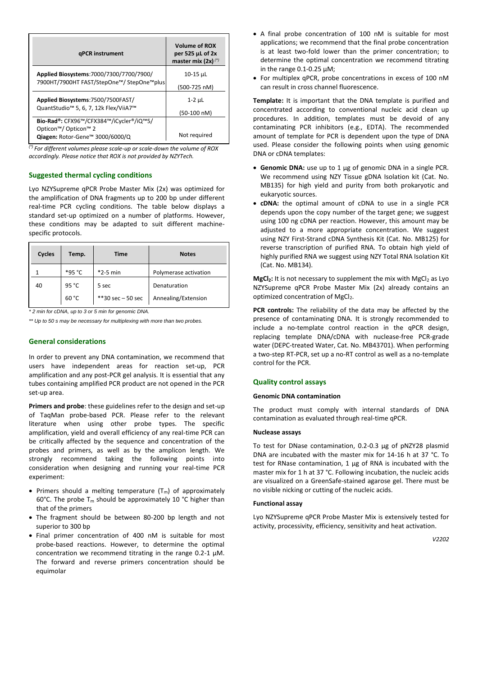| qPCR instrument                                                                         | <b>Volume of ROX</b><br>per 525 µL of 2x<br>master mix $(2x)^{(*)}$ |
|-----------------------------------------------------------------------------------------|---------------------------------------------------------------------|
| Applied Biosystems: 7000/7300/7700/7900/<br>7900HT/7900HT FAST/StepOne™/ StepOne™plus   | 10-15 µL                                                            |
|                                                                                         | (500-725 nM)                                                        |
| Applied Biosystems: 7500/7500FAST/                                                      | $1-2$ $\mu$ L                                                       |
| QuantStudio <sup>™</sup> 5, 6, 7, 12k Flex/ViiA7 <sup>™</sup>                           | $(50-100 \text{ nM})$                                               |
| Bio-Rad®: CFX96™/CFX384™/iCycler®/iQ™5/                                                 |                                                                     |
| Opticon <sup>™</sup> / Opticon <sup>™</sup> 2<br>Qiagen: Rotor-Gene™ 3000/6000/Q<br>441 | Not required                                                        |

<sup>(\*)</sup> For different volumes please scale-up or scale-down the volume of ROX *accordingly. Please notice that ROX is not provided by NZYTech.*

# **Suggested thermal cycling conditions**

Lyo NZYSupreme qPCR Probe Master Mix (2x) was optimized for the amplification of DNA fragments up to 200 bp under different real-time PCR cycling conditions. The table below displays a standard set-up optimized on a number of platforms. However, these conditions may be adapted to suit different machinespecific protocols.

| Cycles | Temp.  | Time                 | <b>Notes</b>          |
|--------|--------|----------------------|-----------------------|
|        | *95 °C | $*2-5$ min           | Polymerase activation |
| 40     | 95 °C  | 5 sec                | Denaturation          |
|        | 60 °C  | $**30$ sec $-50$ sec | Annealing/Extension   |

*\* 2 min for cDNA, up to 3 or 5 min for genomic DNA.*

*\*\* Up to 50 s may be necessary for multiplexing with more than two probes.*

# **General considerations**

In order to prevent any DNA contamination, we recommend that users have independent areas for reaction set-up, PCR amplification and any post-PCR gel analysis. It is essential that any tubes containing amplified PCR product are not opened in the PCR set-up area.

**Primers and probe**: these guidelines refer to the design and set-up of TaqMan probe-based PCR. Please refer to the relevant literature when using other probe types. The specific amplification, yield and overall efficiency of any real-time PCR can be critically affected by the sequence and concentration of the probes and primers, as well as by the amplicon length. We strongly recommend taking the following points into consideration when designing and running your real-time PCR experiment:

- Primers should a melting temperature  $(T_m)$  of approximately 60°C. The probe  $T_m$  should be approximately 10 °C higher than that of the primers
- The fragment should be between 80-200 bp length and not superior to 300 bp
- Final primer concentration of 400 nM is suitable for most probe-based reactions. However, to determine the optimal concentration we recommend titrating in the range 0.2-1 μM. The forward and reverse primers concentration should be equimolar
- A final probe concentration of 100 nM is suitable for most applications; we recommend that the final probe concentration is at least two-fold lower than the primer concentration; to determine the optimal concentration we recommend titrating in the range 0.1-0.25 μM;
- For multiplex qPCR, probe concentrations in excess of 100 nM can result in cross channel fluorescence.

**Template:** It is important that the DNA template is purified and concentrated according to conventional nucleic acid clean up procedures. In addition, templates must be devoid of any contaminating PCR inhibitors (e.g., EDTA). The recommended amount of template for PCR is dependent upon the type of DNA used. Please consider the following points when using genomic DNA or cDNA templates:

- **Genomic DNA:** use up to 1 µg of genomic DNA in a single PCR. We recommend using NZY Tissue gDNA Isolation kit (Cat. No. MB135) for high yield and purity from both prokaryotic and eukaryotic sources.
- **cDNA:** the optimal amount of cDNA to use in a single PCR depends upon the copy number of the target gene; we suggest using 100 ng cDNA per reaction. However, this amount may be adjusted to a more appropriate concentration. We suggest using NZY First-Strand cDNA Synthesis Kit (Cat. No. MB125) for reverse transcription of purified RNA. To obtain high yield of highly purified RNA we suggest using NZY Total RNA Isolation Kit (Cat. No. MB134).

**MgCl<sub>2</sub>**: It is not necessary to supplement the mix with MgCl<sub>2</sub> as Lyo NZYSupreme qPCR Probe Master Mix (2x) already contains an optimized concentration of MgCl<sub>2</sub>.

**PCR controls:** The reliability of the data may be affected by the presence of contaminating DNA. It is strongly recommended to include a no-template control reaction in the qPCR design, replacing template DNA/cDNA with nuclease-free PCR-grade water (DEPC-treated Water, Cat. No. MB43701). When performing a two-step RT-PCR, set up a no-RT control as well as a no-template control for the PCR.

#### **Quality control assays**

#### **Genomic DNA contamination**

The product must comply with internal standards of DNA contamination as evaluated through real-time qPCR.

#### **Nuclease assays**

To test for DNase contamination, 0.2-0.3 μg of pNZY28 plasmid DNA are incubated with the master mix for 14-16 h at 37 °C. To test for RNase contamination, 1 μg of RNA is incubated with the master mix for 1 h at 37 °C. Following incubation, the nucleic acids are visualized on a GreenSafe-stained agarose gel. There must be no visible nicking or cutting of the nucleic acids.

#### **Functional assay**

Lyo NZYSupreme qPCR Probe Master Mix is extensively tested for activity, processivity, efficiency, sensitivity and heat activation.

*V2202*